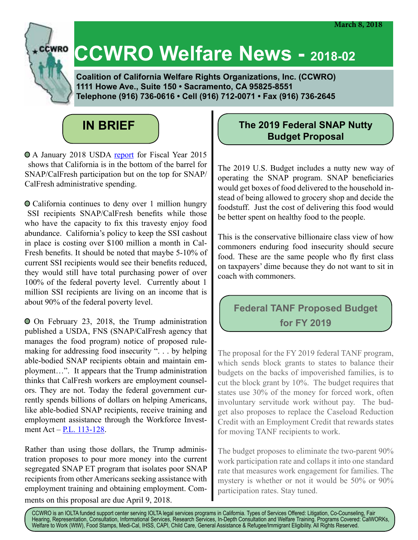# **CCWRO Welfare News - 2018-02**

 **Coalition of California Welfare Rights Organizations, Inc. (CCWRO) 1111 Howe Ave., Suite 150 • Sacramento, CA 95825-8551 Telephone (916) 736-0616 • Cell (916) 712-0071 • Fax (916) 736-2645**



 A January 2018 USDA report for Fiscal Year 2015 shows that California is in the bottom of the barrel for SNAP/CalFresh participation but on the top for SNAP/ CalFresh administrative spending.

 California continues to deny over 1 million hungry SSI recipients SNAP/CalFresh benefits while those who have the capacity to fix this travesty enjoy food abundance. California's policy to keep the SSI cashout in place is costing over \$100 million a month in Cal-Fresh benefits. It should be noted that maybe 5-10% of current SSI recipients would see their benefits reduced, they would still have total purchasing power of over 100% of the federal poverty level. Currently about 1 million SSI recipients are living on an income that is about 90% of the federal poverty level.

 On February 23, 2018, the Trump administration published a USDA, FNS (SNAP/CalFresh agency that manages the food program) notice of proposed rulemaking for addressing food insecurity ". . . by helping able-bodied SNAP recipients obtain and maintain employment…". It appears that the Trump administration thinks that CalFresh workers are employment counselors. They are not. Today the federal government currently spends billions of dollars on helping Americans, like able-bodied SNAP recipients, receive training and employment assistance through the Workforce Investment Act – P.L. 113-128.

Rather than using those dollars, the Trump administration proposes to pour more money into the current segregated SNAP ET program that isolates poor SNAP recipients from other Americans seeking assistance with employment training and obtaining employment. Com-

ments on this proposal are due April 9, 2018.

### **The 2019 Federal SNAP Nutty Budget Proposal**

The 2019 U.S. Budget includes a nutty new way of operating the SNAP program. SNAP beneficiaries would get boxes of food delivered to the household instead of being allowed to grocery shop and decide the foodstuff. Just the cost of delivering this food would be better spent on healthy food to the people.

This is the conservative billionaire class view of how commoners enduring food insecurity should secure food. These are the same people who fly first class on taxpayers' dime because they do not want to sit in coach with commoners.

## **Federal TANF Proposed Budget for FY 2019**

The proposal for the FY 2019 federal TANF program, which sends block grants to states to balance their budgets on the backs of impoverished families, is to cut the block grant by 10%. The budget requires that states use 30% of the money for forced work, often involuntary servitude work without pay. The budget also proposes to replace the Caseload Reduction Credit with an Employment Credit that rewards states for moving TANF recipients to work.

The budget proposes to eliminate the two-parent 90% work participation rate and collaps it into one standard rate that measures work engagement for families. The mystery is whether or not it would be 50% or 90% participation rates. Stay tuned.

CCWRO is an IOLTA funded support center serving IOLTA legal services programs in California. Types of Services Offered: Litigation, Co-Counseling, Fair Hearing, Representation, Consultation, Informational Services, Research Services, In-Depth Consultation and Welfare Training. Programs Covered: CalWORKs, Welfare to Work (WtW), Food Stamps, Medi-Cal, IHSS, CAPI, Child Care, General Assistance & Refugee/Immigrant Eligibility. All Rights Reserved.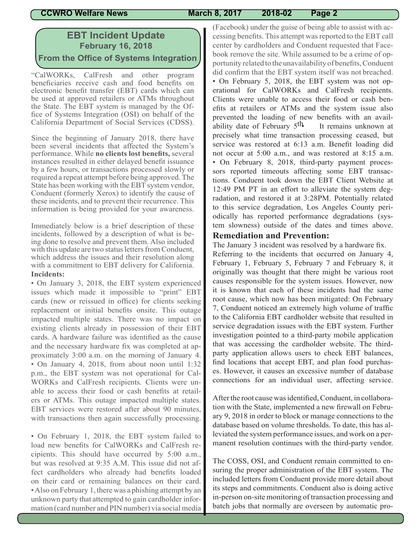### **EBT Incident Update February 16, 2018 From the Office of Systems Integration**

"CalWORKs, CalFresh and other program beneficiaries receive cash and food benefits on electronic benefit transfer (EBT) cards which can be used at approved retailers or ATMs throughout the State. The EBT system is managed by the Office of Systems Integration (OSI) on behalf of the California Department of Social Services (CDSS).

Since the beginning of January 2018, there have been several incidents that affected the System's performance. While **no clients lost benefits,** several instances resulted in either delayed benefit issuance by a few hours, or transactions processed slowly or required a repeat attempt before being approved. The State has been working with the EBT system vendor, Conduent (formerly Xerox) to identify the cause of these incidents, and to prevent their recurrence. This information is being provided for your awareness.

Immediately below is a brief description of these incidents, followed by a description of what is being done to resolve and prevent them. Also included with this update are two status letters from Conduent, which address the issues and their resolution along with a commitment to EBT delivery for California. **Incidents:**

• On January 3, 2018, the EBT system experienced issues which made it impossible to "print" EBT cards (new or reissued in office) for clients seeking replacement or initial benefits onsite. This outage impacted multiple states. There was no impact on existing clients already in possession of their EBT cards. A hardware failure was identified as the cause and the necessary hardware fix was completed at approximately 3:00 a.m. on the morning of January 4. • On January 4, 2018, from about noon until 1:32 p.m., the EBT system was not operational for Cal-WORKs and CalFresh recipients. Clients were unable to access their food or cash benefits at retailers or ATMs. This outage impacted multiple states. EBT services were restored after about 90 minutes, with transactions then again successfully processing.

• On February 1, 2018, the EBT system failed to load new benefits for CalWORKs and CalFresh recipients. This should have occurred by 5:00 a.m., but was resolved at 9:35 A.M. This issue did not affect cardholders who already had benefits loaded on their card or remaining balances on their card. • Also on February 1, there was a phishing attempt by an unknown party that attempted to gain cardholder information (card number and PIN number) via social media

(Facebook) under the guise of being able to assist with accessing benefits. This attempt was reported to the EBT call center by cardholders and Conduent requested that Facebook remove the site. While assumed to be a crime of opportunity related to the unavailability of benefits, Conduent did confirm that the EBT system itself was not breached. • On February 5, 2018, the EBT system was not operational for CalWORKs and CalFresh recipients. Clients were unable to access their food or cash benefits at retailers or ATMs and the system issue also prevented the loading of new benefits with an availability date of February  $5<sup>th</sup>$  It remains unknown at precisely what time transaction processing ceased, but service was restored at 6:13 a.m. Benefit loading did not occur at 5:00 a.m., and was restored at 8:15 a.m. • On February 8, 2018, third-party payment processors reported timeouts affecting some EBT transactions. Conduent took down the EBT Client Website at 12:49 PM PT in an effort to alleviate the system degradation, and restored it at 3:28PM. Potentially related to this service degradation, Los Angeles County periodically has reported performance degradations (system slowness) outside of the dates and times above.

### **Remediation and Prevention:**

The January 3 incident was resolved by a hardware fix. Referring to the incidents that occurred on January 4, February 1, February 5, February 7 and February 8, it originally was thought that there might be various root causes responsible for the system issues. However, now it is known that each of these incidents had the same root cause, which now has been mitigated: On February 7, Conduent noticed an extremely high volume of traffic to the California EBT cardholder website that resulted in service degradation issues with the EBT system. Further investigation pointed to a third-party mobile application that was accessing the cardholder website. The thirdparty application allows users to check EBT balances, find locations that accept EBT, and plan food purchases. However, it causes an excessive number of database connections for an individual user, affecting service.

After the root cause was identified, Conduent, in collaboration with the State, implemented a new firewall on February 9, 2018 in order to block or manage connections to the database based on volume thresholds. To date, this has alleviated the system performance issues, and work on a permanent resolution continues with the third-party vendor.

The COSS, OSI, and Conduent remain committed to ensuring the proper administration of the EBT system. The included letters from Conduent provide more detail about its steps and commitments. Conduent also is doing active in-person on-site monitoring of transaction processing and batch jobs that normally are overseen by automatic pro-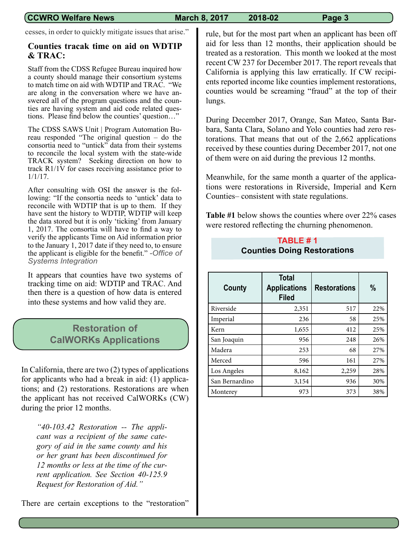cesses, in order to quickly mitigate issues that arise."

### **Counties tracak time on aid on WDTIP & TRAC:**

Staff from the CDSS Refugee Bureau inquired how a county should manage their consortium systems to match time on aid with WDTIP and TRAC. "We are along in the conversation where we have answered all of the program questions and the counties are having system and aid code related questions. Please find below the counties' question…"

The CDSS SAWS Unit | Program Automation Bureau responded "The original question – do the consortia need to "untick" data from their systems to reconcile the local system with the state-wide TRACK system? Seeking direction on how to track R1/1V for cases receiving assistance prior to 1/1/17.

After consulting with OSI the answer is the following: "If the consortia needs to 'untick' data to reconcile with WDTIP that is up to them. If they have sent the history to WDTIP, WDTIP will keep the data stored but it is only 'ticking' from January 1, 2017. The consortia will have to find a way to verify the applicants Time on Aid information prior to the January 1, 2017 date if they need to, to ensure the applicant is eligible for the benefit." *-Office of Systems Integration*

It appears that counties have two systems of tracking time on aid: WDTIP and TRAC. And then there is a question of how data is entered into these systems and how valid they are.

### **Restoration of CalWORKs Applications**

In California, there are two (2) types of applications for applicants who had a break in aid: (1) applications; and (2) restorations. Restorations are when the applicant has not received CalWORKs (CW) during the prior 12 months.

*"40-103.42 Restoration -- The applicant was a recipient of the same category of aid in the same county and his or her grant has been discontinued for 12 months or less at the time of the current application. See Section 40-125.9 Request for Restoration of Aid."*

There are certain exceptions to the "restoration"

rule, but for the most part when an applicant has been off aid for less than 12 months, their application should be treated as a restoration. This month we looked at the most recent CW 237 for December 2017. The report reveals that California is applying this law erratically. If CW recipients reported income like counties implement restorations, counties would be screaming "fraud" at the top of their lungs.

During December 2017, Orange, San Mateo, Santa Barbara, Santa Clara, Solano and Yolo counties had zero restorations. That means that out of the 2,662 applications received by these counties during December 2017, not one of them were on aid during the previous 12 months.

Meanwhile, for the same month a quarter of the applications were restorations in Riverside, Imperial and Kern Counties– consistent with state regulations.

**Table #1** below shows the counties where over 22% cases were restored reflecting the churning phenomenon.

### **TABLE # 1 Counties Doing Restorations**

| County         | <b>Total</b><br><b>Applications</b><br><b>Filed</b> | <b>Restorations</b> | $\%$ |
|----------------|-----------------------------------------------------|---------------------|------|
| Riverside      | 2,351                                               | 517                 | 22%  |
| Imperial       | 236                                                 | 58                  | 25%  |
| Kern           | 1,655                                               | 412                 | 25%  |
| San Joaquin    | 956                                                 | 248                 | 26%  |
| Madera         | 253                                                 | 68                  | 27%  |
| Merced         | 596                                                 | 161                 | 27%  |
| Los Angeles    | 8,162                                               | 2,259               | 28%  |
| San Bernardino | 3,154                                               | 936                 | 30%  |
| Monterey       | 973                                                 | 373                 | 38%  |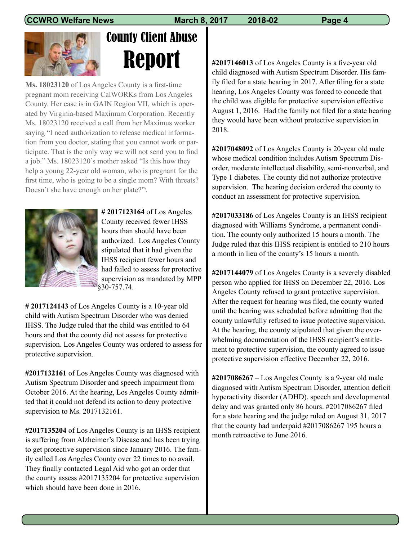

# County Client Abuse Report

**Ms. 18023120** of Los Angeles County is a first-time pregnant mom receiving CalWORKs from Los Angeles County. Her case is in GAIN Region VII, which is operated by Virginia-based Maximum Corporation. Recently Ms. 18023120 received a call from her Maximus worker saying "I need authorization to release medical information from you doctor, stating that you cannot work or participate. That is the only way we will not send you to find a job." Ms. 18023120's mother asked "Is this how they help a young 22-year old woman, who is pregnant for the first time, who is going to be a single mom? With threats? Doesn't she have enough on her plate?"\



**# 2017123164** of Los Angeles County received fewer IHSS hours than should have been authorized. Los Angeles County stipulated that it had given the IHSS recipient fewer hours and had failed to assess for protective supervision as mandated by MPP §30-757.74.

**# 2017124143** of Los Angeles County is a 10-year old child with Autism Spectrum Disorder who was denied IHSS. The Judge ruled that the child was entitled to 64 hours and that the county did not assess for protective supervision. Los Angeles County was ordered to assess for protective supervision.

**#2017132161** of Los Angeles County was diagnosed with Autism Spectrum Disorder and speech impairment from October 2016. At the hearing, Los Angeles County admitted that it could not defend its action to deny protective supervision to Ms. 2017132161.

**#2017135204** of Los Angeles County is an IHSS recipient is suffering from Alzheimer's Disease and has been trying to get protective supervision since January 2016. The family called Los Angeles County over 22 times to no avail. They finally contacted Legal Aid who got an order that the county assess #2017135204 for protective supervision which should have been done in 2016.

**#2017146013** of Los Angeles County is a five-year old child diagnosed with Autism Spectrum Disorder. His family filed for a state hearing in 2017. After filing for a state hearing, Los Angeles County was forced to concede that the child was eligible for protective supervision effective August 1, 2016. Had the family not filed for a state hearing they would have been without protective supervision in 2018.

**#2017048092** of Los Angeles County is 20-year old male whose medical condition includes Autism Spectrum Disorder, moderate intellectual disability, semi-nonverbal, and Type 1 diabetes. The county did not authorize protective supervision. The hearing decision ordered the county to conduct an assessment for protective supervision.

**#2017033186** of Los Angeles County is an IHSS recipient diagnosed with Williams Syndrome, a permanent condition. The county only authorized 15 hours a month. The Judge ruled that this IHSS recipient is entitled to 210 hours a month in lieu of the county's 15 hours a month.

**#2017144079** of Los Angeles County is a severely disabled person who applied for IHSS on December 22, 2016. Los Angeles County refused to grant protective supervision. After the request for hearing was filed, the county waited until the hearing was scheduled before admitting that the county unlawfully refused to issue protective supervision. At the hearing, the county stipulated that given the overwhelming documentation of the IHSS recipient's entitlement to protective supervision, the county agreed to issue protective supervision effective December 22, 2016.

**#2017086267** – Los Angeles County is a 9-year old male diagnosed with Autism Spectrum Disorder, attention deficit hyperactivity disorder (ADHD), speech and developmental delay and was granted only 86 hours. #2017086267 filed for a state hearing and the judge ruled on August 31, 2017 that the county had underpaid #2017086267 195 hours a month retroactive to June 2016.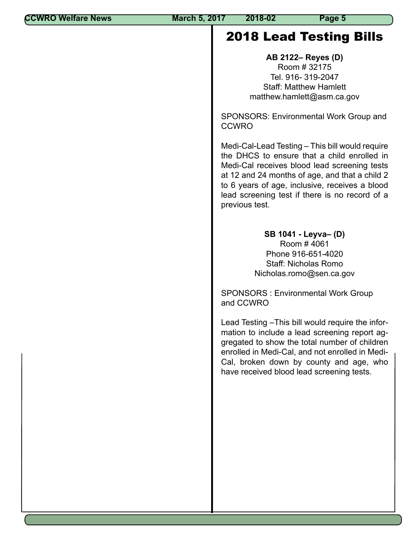## 2018 Lead Testing Bills

**AB 2122– Reyes (D)** Room # 32175 Tel. 916- 319-2047 Staff: Matthew Hamlett matthew.hamlett@asm.ca.gov

SPONSORS: Environmental Work Group and **CCWRO** 

Medi-Cal-Lead Testing – This bill would require the DHCS to ensure that a child enrolled in Medi-Cal receives blood lead screening tests at 12 and 24 months of age, and that a child 2 to 6 years of age, inclusive, receives a blood lead screening test if there is no record of a previous test.

> **SB 1041 - Leyva– (D)** Room # 4061 Phone 916-651-4020 Staff: Nicholas Romo Nicholas.romo@sen.ca.gov

SPONSORS : Environmental Work Group and CCWRO

Lead Testing –This bill would require the information to include a lead screening report aggregated to show the total number of children enrolled in Medi-Cal, and not enrolled in Medi-Cal, broken down by county and age, who have received blood lead screening tests.